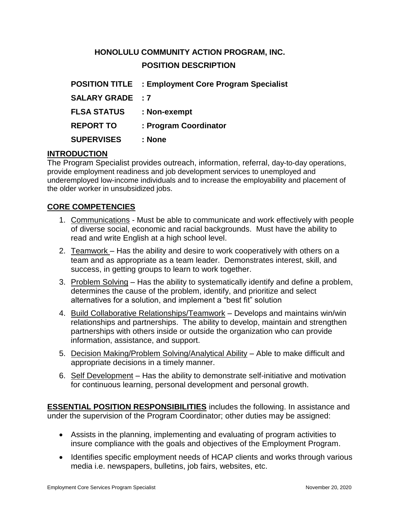# **HONOLULU COMMUNITY ACTION PROGRAM, INC. POSITION DESCRIPTION**

|                         | <b>POSITION TITLE : Employment Core Program Specialist</b> |
|-------------------------|------------------------------------------------------------|
| <b>SALARY GRADE : 7</b> |                                                            |
| <b>FLSA STATUS</b>      | : Non-exempt                                               |
| <b>REPORT TO</b>        | : Program Coordinator                                      |
| <b>SUPERVISES</b>       | : None                                                     |

## **INTRODUCTION**

The Program Specialist provides outreach, information, referral, day-to-day operations, provide employment readiness and job development services to unemployed and underemployed low-income individuals and to increase the employability and placement of the older worker in unsubsidized jobs.

## **CORE COMPETENCIES**

- 1. Communications Must be able to communicate and work effectively with people of diverse social, economic and racial backgrounds. Must have the ability to read and write English at a high school level.
- 2. Teamwork Has the ability and desire to work cooperatively with others on a team and as appropriate as a team leader. Demonstrates interest, skill, and success, in getting groups to learn to work together.
- 3. Problem Solving Has the ability to systematically identify and define a problem, determines the cause of the problem, identify, and prioritize and select alternatives for a solution, and implement a "best fit" solution
- 4. Build Collaborative Relationships/Teamwork Develops and maintains win/win relationships and partnerships. The ability to develop, maintain and strengthen partnerships with others inside or outside the organization who can provide information, assistance, and support.
- 5. Decision Making/Problem Solving/Analytical Ability Able to make difficult and appropriate decisions in a timely manner.
- 6. Self Development Has the ability to demonstrate self-initiative and motivation for continuous learning, personal development and personal growth.

**ESSENTIAL POSITION RESPONSIBILITIES** includes the following. In assistance and under the supervision of the Program Coordinator; other duties may be assigned:

- Assists in the planning, implementing and evaluating of program activities to insure compliance with the goals and objectives of the Employment Program.
- Identifies specific employment needs of HCAP clients and works through various media i.e. newspapers, bulletins, job fairs, websites, etc.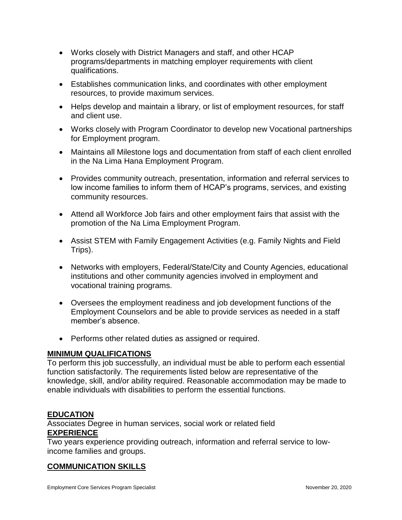- Works closely with District Managers and staff, and other HCAP programs/departments in matching employer requirements with client qualifications.
- Establishes communication links, and coordinates with other employment resources, to provide maximum services.
- Helps develop and maintain a library, or list of employment resources, for staff and client use.
- Works closely with Program Coordinator to develop new Vocational partnerships for Employment program.
- Maintains all Milestone logs and documentation from staff of each client enrolled in the Na Lima Hana Employment Program.
- Provides community outreach, presentation, information and referral services to low income families to inform them of HCAP's programs, services, and existing community resources.
- Attend all Workforce Job fairs and other employment fairs that assist with the promotion of the Na Lima Employment Program.
- Assist STEM with Family Engagement Activities (e.g. Family Nights and Field Trips).
- Networks with employers, Federal/State/City and County Agencies, educational institutions and other community agencies involved in employment and vocational training programs.
- Oversees the employment readiness and job development functions of the Employment Counselors and be able to provide services as needed in a staff member's absence.
- Performs other related duties as assigned or required.

#### **MINIMUM QUALIFICATIONS**

To perform this job successfully, an individual must be able to perform each essential function satisfactorily. The requirements listed below are representative of the knowledge, skill, and/or ability required. Reasonable accommodation may be made to enable individuals with disabilities to perform the essential functions.

# **EDUCATION**

Associates Degree in human services, social work or related field **EXPERIENCE**

Two years experience providing outreach, information and referral service to lowincome families and groups.

#### **COMMUNICATION SKILLS**